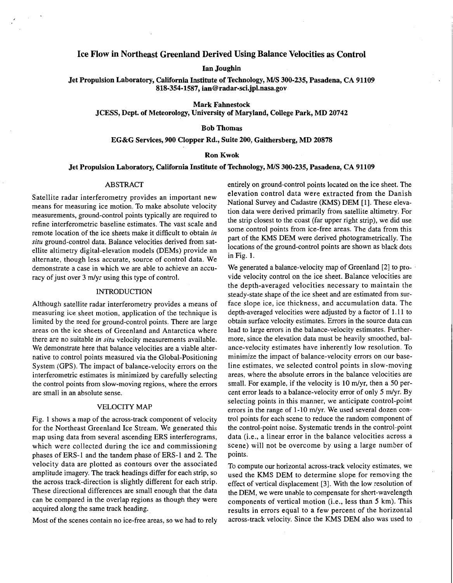# **Ice Flow in Northeast Greenland Derived Using Balance Velocities as Control**

## **Ian Joughin**

**Jet Propulsion Laboratory, California Institute of Technology,** *M/S* **300-235, Pasadena, CA 91109 818-354-1587, [ian@radar-sci.jpl.nasa.gov](mailto:ian@radar-sci.jpl.nasa.gov)** 

**Mark Fahnestock JCESS, Dept. of Meteorology, University of Maryland, College Park, MD 20742** 

#### **Bob Thomas**

### **EG&G Services, 900 Clopper Rd., Suite 200, Gaithersberg, MD 20878**

#### **Ron Kwok**

## **Jet Propulsion Laboratory, California Institute of Technology,** *M/S* **300-235, Pasadena, CA 91109**

## ABSTRACT

Satellite radar interferometry provides an important new means for measuring ice motion. To make absolute velocity measurements, ground-control points typically are required to refine interferometric baseline estimates. The vast scale and remote location of the ice sheets make it difficult to obtain *in situ* ground-control data. Balance velocities derived from satellite altimetry digital-elevation models (DEMs) provide an alternate, though less accurate, source of control data. We demonstrate a case in which we are able to achieve an accuracy of just over 3 m/yr using this type of control.

### INTRODUCTION

Although satellite radar interferometry provides a means of measuring ice sheet motion, application of the technique is limited by the need for ground-control points. There are large areas on the ice sheets of Greenland and Antarctica where there are no suitable *in situ* velocity measurements available. We demonstrate here that balance velocities are a viable alternative to control points measured via the Global-Positioning System (GPS). The impact of balance-velocity errors on the interferometric estimates is minimized by carefully selecting the control points from slow-moving regions, where the errors are small in an absolute sense.

#### VELOCITY MAP

Fig. **1** shows a map of the across-track component of velocity for the Northeast Greenland Ice Stream. We generated this map using data from several ascending ERS interferograms, which were collected during the ice and commissioning phases of ERS-1 and the tandem phase of ERS-1 and 2. The velocity data are plotted as contours over the associated amplitude imagery. The track headings differ for each strip, so the across track-direction is slightly different for each strip. These directional differences are small enough that the data can be compared in the overlap regions as though they were acquired along the same track heading.

Most of the scenes contain no ice-free areas, so we had to rely

entirely on ground-control points located on the ice sheet. The elevation control data were extracted from the Danish National Survey and Cadastre (KMS) DEM [l]. These elevation data were derived primarily from satellite altimetry. For the strip closest to the coast (far upper right strip), we did use some control points from ice-free areas. The data from this part of the KMS DEM were derived photogrametrically. The locations of the ground-control points are shown as black dots in Fig. 1.

We generated a balance-velocity map of Greenland [2] to provide velocity control on the ice sheet. Balance velocities are the depth-averaged velocities necessary to maintain the steady-state shape of the ice sheet and are estimated from surface slope ice, ice thickness, and accumulation data. The depth-averaged velocities were adjusted by a factor of 1.11 to obtain surface velocity estimates. Errors in the source data can lead to large errors in the balance-velocity estimates. Furthermore, since the elevation data must be heavily smoothed, balance-velocity estimates have inherently low resolution. To minimize the impact of balance-velocity errors on our baseline estimates, we selected control points in slow-moving areas, where the absolute errors in the balance velocities are small. For example, if the velocity is 10 m/yr, then a 50 percent error leads to a balance-velocity error of only 5 m/yr. By selecting points in this manner, we anticipate control-point errors in the range of 1-10 m/yr. We used several dozen control points for each scene to reduce the random component of the control-point noise. Systematic trends in the control-point data (i.e., a linear error in the balance velocities across a scene) will not be overcome by using a large number of points.

To compute our horizontal across-track velocity estimates, we used the KMS DEM to determine slope for removing the effect of vertical displacement **[3].** With the low resolution of the DEM, we were unable to compensate for short-wavelength components of vertical motion (i.e., less than 5 km). This results in errors equal to a few percent of the horizontal across-track velocity. Since the KMS DEM also was used to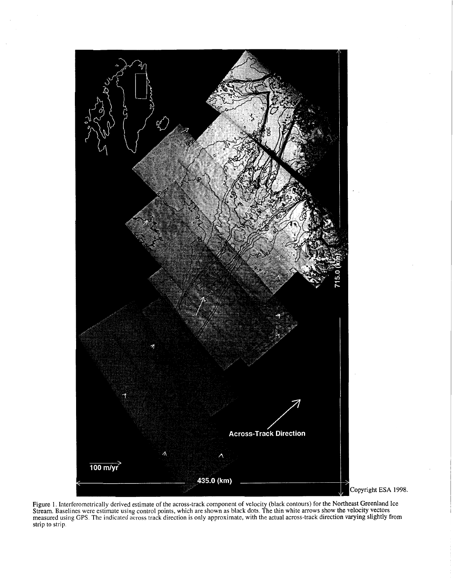

Figure 1. Interferometrically derived estimate of the across-track component of velocity (black contours) for the Northeast Greenland Ice Stream. Baselines were estimate using control points, which are shown as black dots. The thin white arrows show the velocity vectors measured using GPS. The indicated across track direction is only approximate, with the actual across-track direction varying slightly from strip to strip.